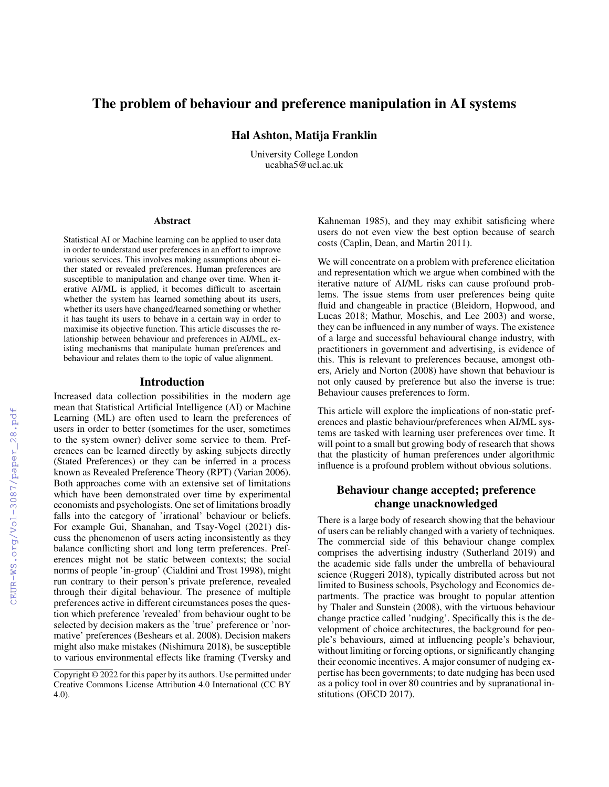# The problem of behaviour and preference manipulation in AI systems

Hal Ashton, Matija Franklin

University College London ucabha5@ucl.ac.uk

#### **Abstract**

Statistical AI or Machine learning can be applied to user data in order to understand user preferences in an effort to improve various services. This involves making assumptions about either stated or revealed preferences. Human preferences are susceptible to manipulation and change over time. When iterative AI/ML is applied, it becomes difficult to ascertain whether the system has learned something about its users, whether its users have changed/learned something or whether it has taught its users to behave in a certain way in order to maximise its objective function. This article discusses the relationship between behaviour and preferences in AI/ML, existing mechanisms that manipulate human preferences and behaviour and relates them to the topic of value alignment.

#### Introduction

Increased data collection possibilities in the modern age mean that Statistical Artificial Intelligence (AI) or Machine Learning (ML) are often used to learn the preferences of users in order to better (sometimes for the user, sometimes to the system owner) deliver some service to them. Preferences can be learned directly by asking subjects directly (Stated Preferences) or they can be inferred in a process known as Revealed Preference Theory (RPT) (Varian 2006). Both approaches come with an extensive set of limitations which have been demonstrated over time by experimental economists and psychologists. One set of limitations broadly falls into the category of 'irrational' behaviour or beliefs. For example Gui, Shanahan, and Tsay-Vogel (2021) discuss the phenomenon of users acting inconsistently as they balance conflicting short and long term preferences. Preferences might not be static between contexts; the social norms of people 'in-group' (Cialdini and Trost 1998), might run contrary to their person's private preference, revealed through their digital behaviour. The presence of multiple preferences active in different circumstances poses the question which preference 'revealed' from behaviour ought to be selected by decision makers as the 'true' preference or 'normative' preferences (Beshears et al. 2008). Decision makers might also make mistakes (Nishimura 2018), be susceptible to various environmental effects like framing (Tversky and

Kahneman 1985), and they may exhibit satisficing where users do not even view the best option because of search costs (Caplin, Dean, and Martin 2011).

We will concentrate on a problem with preference elicitation and representation which we argue when combined with the iterative nature of AI/ML risks can cause profound problems. The issue stems from user preferences being quite fluid and changeable in practice (Bleidorn, Hopwood, and Lucas 2018; Mathur, Moschis, and Lee 2003) and worse, they can be influenced in any number of ways. The existence of a large and successful behavioural change industry, with practitioners in government and advertising, is evidence of this. This is relevant to preferences because, amongst others, Ariely and Norton (2008) have shown that behaviour is not only caused by preference but also the inverse is true: Behaviour causes preferences to form.

This article will explore the implications of non-static preferences and plastic behaviour/preferences when AI/ML systems are tasked with learning user preferences over time. It will point to a small but growing body of research that shows that the plasticity of human preferences under algorithmic influence is a profound problem without obvious solutions.

## Behaviour change accepted; preference change unacknowledged

There is a large body of research showing that the behaviour of users can be reliably changed with a variety of techniques. The commercial side of this behaviour change complex comprises the advertising industry (Sutherland 2019) and the academic side falls under the umbrella of behavioural science (Ruggeri 2018), typically distributed across but not limited to Business schools, Psychology and Economics departments. The practice was brought to popular attention by Thaler and Sunstein (2008), with the virtuous behaviour change practice called 'nudging'. Specifically this is the development of choice architectures, the background for people's behaviours, aimed at influencing people's behaviour, without limiting or forcing options, or significantly changing their economic incentives. A major consumer of nudging expertise has been governments; to date nudging has been used as a policy tool in over 80 countries and by supranational institutions (OECD 2017).

Copyright © 2022 for this paper by its authors. Use permitted under Creative Commons License Attribution 4.0 International (CC BY 4.0).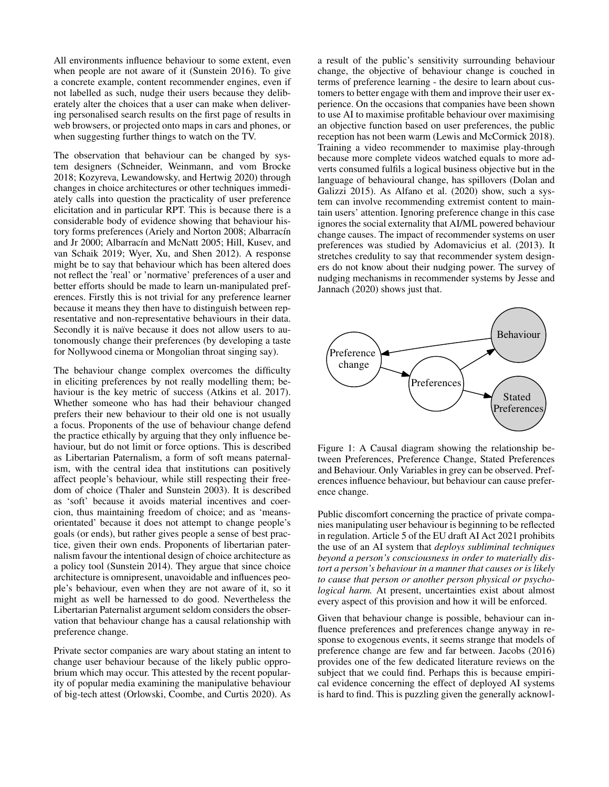All environments influence behaviour to some extent, even when people are not aware of it (Sunstein 2016). To give a concrete example, content recommender engines, even if not labelled as such, nudge their users because they deliberately alter the choices that a user can make when delivering personalised search results on the first page of results in web browsers, or projected onto maps in cars and phones, or when suggesting further things to watch on the TV.

The observation that behaviour can be changed by system designers (Schneider, Weinmann, and vom Brocke 2018; Kozyreva, Lewandowsky, and Hertwig 2020) through changes in choice architectures or other techniques immediately calls into question the practicality of user preference elicitation and in particular RPT. This is because there is a considerable body of evidence showing that behaviour history forms preferences (Ariely and Norton 2008; Albarracín and Jr 2000; Albarracín and McNatt 2005; Hill, Kusev, and van Schaik 2019; Wyer, Xu, and Shen 2012). A response might be to say that behaviour which has been altered does not reflect the 'real' or 'normative' preferences of a user and better efforts should be made to learn un-manipulated preferences. Firstly this is not trivial for any preference learner because it means they then have to distinguish between representative and non-representative behaviours in their data. Secondly it is naïve because it does not allow users to autonomously change their preferences (by developing a taste for Nollywood cinema or Mongolian throat singing say).

The behaviour change complex overcomes the difficulty in eliciting preferences by not really modelling them; behaviour is the key metric of success (Atkins et al. 2017). Whether someone who has had their behaviour changed prefers their new behaviour to their old one is not usually a focus. Proponents of the use of behaviour change defend the practice ethically by arguing that they only influence behaviour, but do not limit or force options. This is described as Libertarian Paternalism, a form of soft means paternalism, with the central idea that institutions can positively affect people's behaviour, while still respecting their freedom of choice (Thaler and Sunstein 2003). It is described as 'soft' because it avoids material incentives and coercion, thus maintaining freedom of choice; and as 'meansorientated' because it does not attempt to change people's goals (or ends), but rather gives people a sense of best practice, given their own ends. Proponents of libertarian paternalism favour the intentional design of choice architecture as a policy tool (Sunstein 2014). They argue that since choice architecture is omnipresent, unavoidable and influences people's behaviour, even when they are not aware of it, so it might as well be harnessed to do good. Nevertheless the Libertarian Paternalist argument seldom considers the observation that behaviour change has a causal relationship with preference change.

Private sector companies are wary about stating an intent to change user behaviour because of the likely public opprobrium which may occur. This attested by the recent popularity of popular media examining the manipulative behaviour of big-tech attest (Orlowski, Coombe, and Curtis 2020). As a result of the public's sensitivity surrounding behaviour change, the objective of behaviour change is couched in terms of preference learning - the desire to learn about customers to better engage with them and improve their user experience. On the occasions that companies have been shown to use AI to maximise profitable behaviour over maximising an objective function based on user preferences, the public reception has not been warm (Lewis and McCormick 2018). Training a video recommender to maximise play-through because more complete videos watched equals to more adverts consumed fulfils a logical business objective but in the language of behavioural change, has spillovers (Dolan and Galizzi 2015). As Alfano et al. (2020) show, such a system can involve recommending extremist content to maintain users' attention. Ignoring preference change in this case ignores the social externality that AI/ML powered behaviour change causes. The impact of recommender systems on user preferences was studied by Adomavicius et al. (2013). It stretches credulity to say that recommender system designers do not know about their nudging power. The survey of nudging mechanisms in recommender systems by Jesse and Jannach (2020) shows just that.



Figure 1: A Causal diagram showing the relationship between Preferences, Preference Change, Stated Preferences and Behaviour. Only Variables in grey can be observed. Preferences influence behaviour, but behaviour can cause preference change.

Public discomfort concerning the practice of private companies manipulating user behaviour is beginning to be reflected in regulation. Article 5 of the EU draft AI Act 2021 prohibits the use of an AI system that *deploys subliminal techniques beyond a person's consciousness in order to materially distort a person's behaviour in a manner that causes or is likely to cause that person or another person physical or psychological harm.* At present, uncertainties exist about almost every aspect of this provision and how it will be enforced.

Given that behaviour change is possible, behaviour can influence preferences and preferences change anyway in response to exogenous events, it seems strange that models of preference change are few and far between. Jacobs (2016) provides one of the few dedicated literature reviews on the subject that we could find. Perhaps this is because empirical evidence concerning the effect of deployed AI systems is hard to find. This is puzzling given the generally acknowl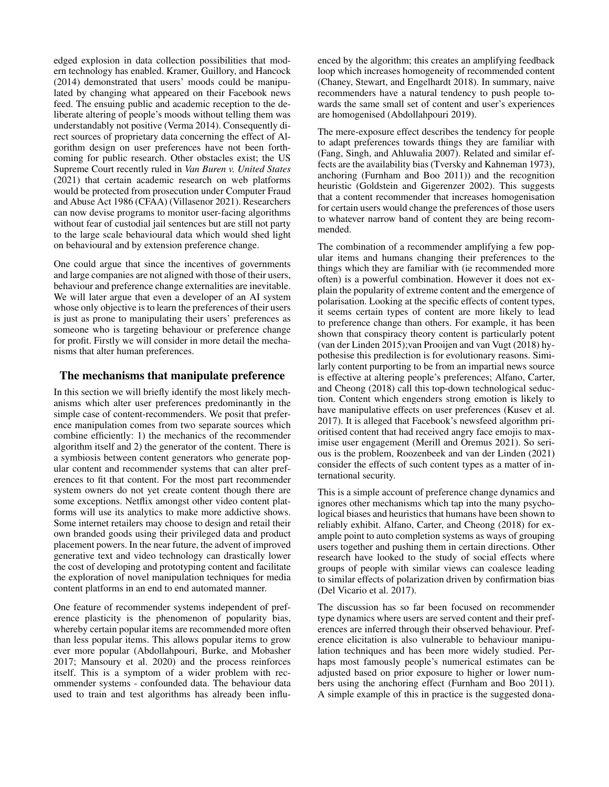edged explosion in data collection possibilities that modern technology has enabled. Kramer, Guillory, and Hancock (2014) demonstrated that users' moods could be manipulated by changing what appeared on their Facebook news feed. The ensuing public and academic reception to the deliberate altering of people's moods without telling them was understandably not positive (Verma 2014). Consequently direct sources of proprietary data concerning the effect of Algorithm design on user preferences have not been forthcoming for public research. Other obstacles exist; the US Supreme Court recently ruled in *Van Buren v. United States* (2021) that certain academic research on web platforms would be protected from prosecution under Computer Fraud and Abuse Act 1986 (CFAA) (Villasenor 2021). Researchers can now devise programs to monitor user-facing algorithms without fear of custodial jail sentences but are still not party to the large scale behavioural data which would shed light on behavioural and by extension preference change.

One could argue that since the incentives of governments and large companies are not aligned with those of their users, behaviour and preference change externalities are inevitable. We will later argue that even a developer of an AI system whose only objective is to learn the preferences of their users is just as prone to manipulating their users' preferences as someone who is targeting behaviour or preference change for profit. Firstly we will consider in more detail the mechanisms that alter human preferences.

### The mechanisms that manipulate preference

In this section we will briefly identify the most likely mechanisms which alter user preferences predominantly in the simple case of content-recommenders. We posit that preference manipulation comes from two separate sources which combine efficiently: 1) the mechanics of the recommender algorithm itself and 2) the generator of the content. There is a symbiosis between content generators who generate popular content and recommender systems that can alter preferences to fit that content. For the most part recommender system owners do not yet create content though there are some exceptions. Netflix amongst other video content platforms will use its analytics to make more addictive shows. Some internet retailers may choose to design and retail their own branded goods using their privileged data and product placement powers. In the near future, the advent of improved generative text and video technology can drastically lower the cost of developing and prototyping content and facilitate the exploration of novel manipulation techniques for media content platforms in an end to end automated manner.

One feature of recommender systems independent of preference plasticity is the phenomenon of popularity bias, whereby certain popular items are recommended more often than less popular items. This allows popular items to grow ever more popular (Abdollahpouri, Burke, and Mobasher 2017; Mansoury et al. 2020) and the process reinforces itself. This is a symptom of a wider problem with recommender systems - confounded data. The behaviour data used to train and test algorithms has already been influ-

enced by the algorithm; this creates an amplifying feedback loop which increases homogeneity of recommended content (Chaney, Stewart, and Engelhardt 2018). In summary, naive recommenders have a natural tendency to push people towards the same small set of content and user's experiences are homogenised (Abdollahpouri 2019).

The mere-exposure effect describes the tendency for people to adapt preferences towards things they are familiar with (Fang, Singh, and Ahluwalia 2007). Related and similar effects are the availability bias (Tversky and Kahneman 1973), anchoring (Furnham and Boo 2011)) and the recognition heuristic (Goldstein and Gigerenzer 2002). This suggests that a content recommender that increases homogenisation for certain users would change the preferences of those users to whatever narrow band of content they are being recommended.

The combination of a recommender amplifying a few popular items and humans changing their preferences to the things which they are familiar with (ie recommended more often) is a powerful combination. However it does not explain the popularity of extreme content and the emergence of polarisation. Looking at the specific effects of content types, it seems certain types of content are more likely to lead to preference change than others. For example, it has been shown that conspiracy theory content is particularly potent (van der Linden 2015);van Prooijen and van Vugt (2018) hypothesise this predilection is for evolutionary reasons. Similarly content purporting to be from an impartial news source is effective at altering people's preferences; Alfano, Carter, and Cheong (2018) call this top-down technological seduction. Content which engenders strong emotion is likely to have manipulative effects on user preferences (Kusev et al. 2017). It is alleged that Facebook's newsfeed algorithm prioritised content that had received angry face emojis to maximise user engagement (Merill and Oremus 2021). So serious is the problem, Roozenbeek and van der Linden (2021) consider the effects of such content types as a matter of international security.

This is a simple account of preference change dynamics and ignores other mechanisms which tap into the many psychological biases and heuristics that humans have been shown to reliably exhibit. Alfano, Carter, and Cheong (2018) for example point to auto completion systems as ways of grouping users together and pushing them in certain directions. Other research have looked to the study of social effects where groups of people with similar views can coalesce leading to similar effects of polarization driven by confirmation bias (Del Vicario et al. 2017).

The discussion has so far been focused on recommender type dynamics where users are served content and their preferences are inferred through their observed behaviour. Preference elicitation is also vulnerable to behaviour manipulation techniques and has been more widely studied. Perhaps most famously people's numerical estimates can be adjusted based on prior exposure to higher or lower numbers using the anchoring effect (Furnham and Boo 2011). A simple example of this in practice is the suggested dona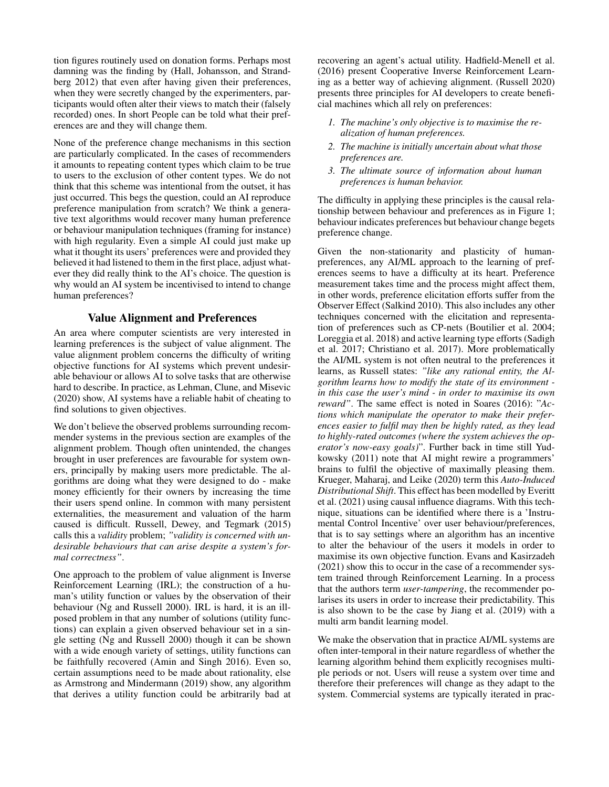tion figures routinely used on donation forms. Perhaps most damning was the finding by (Hall, Johansson, and Strandberg 2012) that even after having given their preferences, when they were secretly changed by the experimenters, participants would often alter their views to match their (falsely recorded) ones. In short People can be told what their preferences are and they will change them.

None of the preference change mechanisms in this section are particularly complicated. In the cases of recommenders it amounts to repeating content types which claim to be true to users to the exclusion of other content types. We do not think that this scheme was intentional from the outset, it has just occurred. This begs the question, could an AI reproduce preference manipulation from scratch? We think a generative text algorithms would recover many human preference or behaviour manipulation techniques (framing for instance) with high regularity. Even a simple AI could just make up what it thought its users' preferences were and provided they believed it had listened to them in the first place, adjust whatever they did really think to the AI's choice. The question is why would an AI system be incentivised to intend to change human preferences?

### Value Alignment and Preferences

An area where computer scientists are very interested in learning preferences is the subject of value alignment. The value alignment problem concerns the difficulty of writing objective functions for AI systems which prevent undesirable behaviour or allows AI to solve tasks that are otherwise hard to describe. In practice, as Lehman, Clune, and Misevic (2020) show, AI systems have a reliable habit of cheating to find solutions to given objectives.

We don't believe the observed problems surrounding recommender systems in the previous section are examples of the alignment problem. Though often unintended, the changes brought in user preferences are favourable for system owners, principally by making users more predictable. The algorithms are doing what they were designed to do - make money efficiently for their owners by increasing the time their users spend online. In common with many persistent externalities, the measurement and valuation of the harm caused is difficult. Russell, Dewey, and Tegmark (2015) calls this a *validity* problem; *"validity is concerned with undesirable behaviours that can arise despite a system's formal correctness"*.

One approach to the problem of value alignment is Inverse Reinforcement Learning (IRL); the construction of a human's utility function or values by the observation of their behaviour (Ng and Russell 2000). IRL is hard, it is an illposed problem in that any number of solutions (utility functions) can explain a given observed behaviour set in a single setting (Ng and Russell 2000) though it can be shown with a wide enough variety of settings, utility functions can be faithfully recovered (Amin and Singh 2016). Even so, certain assumptions need to be made about rationality, else as Armstrong and Mindermann (2019) show, any algorithm that derives a utility function could be arbitrarily bad at recovering an agent's actual utility. Hadfield-Menell et al. (2016) present Cooperative Inverse Reinforcement Learning as a better way of achieving alignment. (Russell 2020) presents three principles for AI developers to create beneficial machines which all rely on preferences:

- *1. The machine's only objective is to maximise the realization of human preferences.*
- *2. The machine is initially uncertain about what those preferences are.*
- *3. The ultimate source of information about human preferences is human behavior.*

The difficulty in applying these principles is the causal relationship between behaviour and preferences as in Figure 1; behaviour indicates preferences but behaviour change begets preference change.

Given the non-stationarity and plasticity of humanpreferences, any AI/ML approach to the learning of preferences seems to have a difficulty at its heart. Preference measurement takes time and the process might affect them, in other words, preference elicitation efforts suffer from the Observer Effect (Salkind 2010). This also includes any other techniques concerned with the elicitation and representation of preferences such as CP-nets (Boutilier et al. 2004; Loreggia et al. 2018) and active learning type efforts (Sadigh et al. 2017; Christiano et al. 2017). More problematically the AI/ML system is not often neutral to the preferences it learns, as Russell states: *"like any rational entity, the Algorithm learns how to modify the state of its environment in this case the user's mind - in order to maximise its own reward"*. The same effect is noted in Soares (2016): "*Actions which manipulate the operator to make their preferences easier to fulfil may then be highly rated, as they lead to highly-rated outcomes (where the system achieves the operator's now-easy goals)*". Further back in time still Yudkowsky (2011) note that AI might rewire a programmers' brains to fulfil the objective of maximally pleasing them. Krueger, Maharaj, and Leike (2020) term this *Auto-Induced Distributional Shift*. This effect has been modelled by Everitt et al. (2021) using causal influence diagrams. With this technique, situations can be identified where there is a 'Instrumental Control Incentive' over user behaviour/preferences, that is to say settings where an algorithm has an incentive to alter the behaviour of the users it models in order to maximise its own objective function. Evans and Kasirzadeh (2021) show this to occur in the case of a recommender system trained through Reinforcement Learning. In a process that the authors term *user-tampering*, the recommender polarises its users in order to increase their predictability. This is also shown to be the case by Jiang et al. (2019) with a multi arm bandit learning model.

We make the observation that in practice AI/ML systems are often inter-temporal in their nature regardless of whether the learning algorithm behind them explicitly recognises multiple periods or not. Users will reuse a system over time and therefore their preferences will change as they adapt to the system. Commercial systems are typically iterated in prac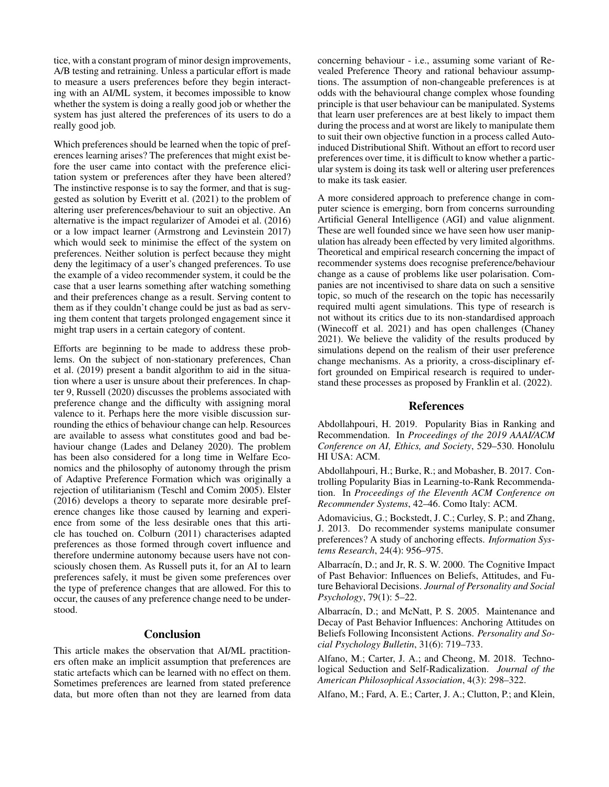tice, with a constant program of minor design improvements, A/B testing and retraining. Unless a particular effort is made to measure a users preferences before they begin interacting with an AI/ML system, it becomes impossible to know whether the system is doing a really good job or whether the system has just altered the preferences of its users to do a really good job.

Which preferences should be learned when the topic of preferences learning arises? The preferences that might exist before the user came into contact with the preference elicitation system or preferences after they have been altered? The instinctive response is to say the former, and that is suggested as solution by Everitt et al. (2021) to the problem of altering user preferences/behaviour to suit an objective. An alternative is the impact regularizer of Amodei et al. (2016) or a low impact learner (Armstrong and Levinstein 2017) which would seek to minimise the effect of the system on preferences. Neither solution is perfect because they might deny the legitimacy of a user's changed preferences. To use the example of a video recommender system, it could be the case that a user learns something after watching something and their preferences change as a result. Serving content to them as if they couldn't change could be just as bad as serving them content that targets prolonged engagement since it might trap users in a certain category of content.

Efforts are beginning to be made to address these problems. On the subject of non-stationary preferences, Chan et al. (2019) present a bandit algorithm to aid in the situation where a user is unsure about their preferences. In chapter 9, Russell (2020) discusses the problems associated with preference change and the difficulty with assigning moral valence to it. Perhaps here the more visible discussion surrounding the ethics of behaviour change can help. Resources are available to assess what constitutes good and bad behaviour change (Lades and Delaney 2020). The problem has been also considered for a long time in Welfare Economics and the philosophy of autonomy through the prism of Adaptive Preference Formation which was originally a rejection of utilitarianism (Teschl and Comim 2005). Elster (2016) develops a theory to separate more desirable preference changes like those caused by learning and experience from some of the less desirable ones that this article has touched on. Colburn (2011) characterises adapted preferences as those formed through covert influence and therefore undermine autonomy because users have not consciously chosen them. As Russell puts it, for an AI to learn preferences safely, it must be given some preferences over the type of preference changes that are allowed. For this to occur, the causes of any preference change need to be understood.

### **Conclusion**

This article makes the observation that AI/ML practitioners often make an implicit assumption that preferences are static artefacts which can be learned with no effect on them. Sometimes preferences are learned from stated preference data, but more often than not they are learned from data

concerning behaviour - i.e., assuming some variant of Revealed Preference Theory and rational behaviour assumptions. The assumption of non-changeable preferences is at odds with the behavioural change complex whose founding principle is that user behaviour can be manipulated. Systems that learn user preferences are at best likely to impact them during the process and at worst are likely to manipulate them to suit their own objective function in a process called Autoinduced Distributional Shift. Without an effort to record user preferences over time, it is difficult to know whether a particular system is doing its task well or altering user preferences to make its task easier.

A more considered approach to preference change in computer science is emerging, born from concerns surrounding Artificial General Intelligence (AGI) and value alignment. These are well founded since we have seen how user manipulation has already been effected by very limited algorithms. Theoretical and empirical research concerning the impact of recommender systems does recognise preference/behaviour change as a cause of problems like user polarisation. Companies are not incentivised to share data on such a sensitive topic, so much of the research on the topic has necessarily required multi agent simulations. This type of research is not without its critics due to its non-standardised approach (Winecoff et al. 2021) and has open challenges (Chaney 2021). We believe the validity of the results produced by simulations depend on the realism of their user preference change mechanisms. As a priority, a cross-disciplinary effort grounded on Empirical research is required to understand these processes as proposed by Franklin et al. (2022).

#### References

Abdollahpouri, H. 2019. Popularity Bias in Ranking and Recommendation. In *Proceedings of the 2019 AAAI/ACM Conference on AI, Ethics, and Society*, 529–530. Honolulu HI USA: ACM.

Abdollahpouri, H.; Burke, R.; and Mobasher, B. 2017. Controlling Popularity Bias in Learning-to-Rank Recommendation. In *Proceedings of the Eleventh ACM Conference on Recommender Systems*, 42–46. Como Italy: ACM.

Adomavicius, G.; Bockstedt, J. C.; Curley, S. P.; and Zhang, J. 2013. Do recommender systems manipulate consumer preferences? A study of anchoring effects. *Information Systems Research*, 24(4): 956–975.

Albarracín, D.; and Jr, R. S. W. 2000. The Cognitive Impact of Past Behavior: Influences on Beliefs, Attitudes, and Future Behavioral Decisions. *Journal of Personality and Social Psychology*, 79(1): 5–22.

Albarracín, D.; and McNatt, P. S. 2005. Maintenance and Decay of Past Behavior Influences: Anchoring Attitudes on Beliefs Following Inconsistent Actions. *Personality and Social Psychology Bulletin*, 31(6): 719–733.

Alfano, M.; Carter, J. A.; and Cheong, M. 2018. Technological Seduction and Self-Radicalization. *Journal of the American Philosophical Association*, 4(3): 298–322.

Alfano, M.; Fard, A. E.; Carter, J. A.; Clutton, P.; and Klein,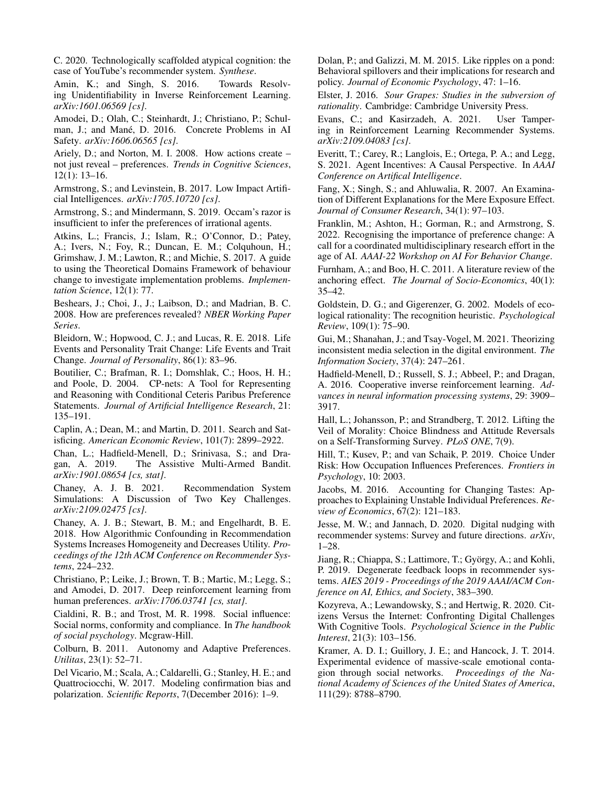C. 2020. Technologically scaffolded atypical cognition: the case of YouTube's recommender system. *Synthese*.

Amin, K.; and Singh, S. 2016. Towards Resolving Unidentifiability in Inverse Reinforcement Learning. *arXiv:1601.06569 [cs]*.

Amodei, D.; Olah, C.; Steinhardt, J.; Christiano, P.; Schulman, J.; and Mané, D. 2016. Concrete Problems in AI Safety. *arXiv:1606.06565 [cs]*.

Ariely, D.; and Norton, M. I. 2008. How actions create – not just reveal – preferences. *Trends in Cognitive Sciences*, 12(1): 13–16.

Armstrong, S.; and Levinstein, B. 2017. Low Impact Artificial Intelligences. *arXiv:1705.10720 [cs]*.

Armstrong, S.; and Mindermann, S. 2019. Occam's razor is insufficient to infer the preferences of irrational agents.

Atkins, L.; Francis, J.; Islam, R.; O'Connor, D.; Patey, A.; Ivers, N.; Foy, R.; Duncan, E. M.; Colquhoun, H.; Grimshaw, J. M.; Lawton, R.; and Michie, S. 2017. A guide to using the Theoretical Domains Framework of behaviour change to investigate implementation problems. *Implementation Science*, 12(1): 77.

Beshears, J.; Choi, J., J.; Laibson, D.; and Madrian, B. C. 2008. How are preferences revealed? *NBER Working Paper Series*.

Bleidorn, W.; Hopwood, C. J.; and Lucas, R. E. 2018. Life Events and Personality Trait Change: Life Events and Trait Change. *Journal of Personality*, 86(1): 83–96.

Boutilier, C.; Brafman, R. I.; Domshlak, C.; Hoos, H. H.; and Poole, D. 2004. CP-nets: A Tool for Representing and Reasoning with Conditional Ceteris Paribus Preference Statements. *Journal of Artificial Intelligence Research*, 21: 135–191.

Caplin, A.; Dean, M.; and Martin, D. 2011. Search and Satisficing. *American Economic Review*, 101(7): 2899–2922.

Chan, L.; Hadfield-Menell, D.; Srinivasa, S.; and Dragan, A. 2019. The Assistive Multi-Armed Bandit. *arXiv:1901.08654 [cs, stat]*.

Chaney, A. J. B. 2021. Recommendation System Simulations: A Discussion of Two Key Challenges. *arXiv:2109.02475 [cs]*.

Chaney, A. J. B.; Stewart, B. M.; and Engelhardt, B. E. 2018. How Algorithmic Confounding in Recommendation Systems Increases Homogeneity and Decreases Utility. *Proceedings of the 12th ACM Conference on Recommender Systems*, 224–232.

Christiano, P.; Leike, J.; Brown, T. B.; Martic, M.; Legg, S.; and Amodei, D. 2017. Deep reinforcement learning from human preferences. *arXiv:1706.03741 [cs, stat]*.

Cialdini, R. B.; and Trost, M. R. 1998. Social influence: Social norms, conformity and compliance. In *The handbook of social psychology*. Mcgraw-Hill.

Colburn, B. 2011. Autonomy and Adaptive Preferences. *Utilitas*, 23(1): 52–71.

Del Vicario, M.; Scala, A.; Caldarelli, G.; Stanley, H. E.; and Quattrociocchi, W. 2017. Modeling confirmation bias and polarization. *Scientific Reports*, 7(December 2016): 1–9.

Dolan, P.; and Galizzi, M. M. 2015. Like ripples on a pond: Behavioral spillovers and their implications for research and policy. *Journal of Economic Psychology*, 47: 1–16.

Elster, J. 2016. *Sour Grapes: Studies in the subversion of rationality*. Cambridge: Cambridge University Press.

Evans, C.; and Kasirzadeh, A. 2021. User Tampering in Reinforcement Learning Recommender Systems. *arXiv:2109.04083 [cs]*.

Everitt, T.; Carey, R.; Langlois, E.; Ortega, P. A.; and Legg, S. 2021. Agent Incentives: A Causal Perspective. In *AAAI Conference on Artifical Intelligence*.

Fang, X.; Singh, S.; and Ahluwalia, R. 2007. An Examination of Different Explanations for the Mere Exposure Effect. *Journal of Consumer Research*, 34(1): 97–103.

Franklin, M.; Ashton, H.; Gorman, R.; and Armstrong, S. 2022. Recognising the importance of preference change: A call for a coordinated multidisciplinary research effort in the age of AI. *AAAI-22 Workshop on AI For Behavior Change*.

Furnham, A.; and Boo, H. C. 2011. A literature review of the anchoring effect. *The Journal of Socio-Economics*, 40(1): 35–42.

Goldstein, D. G.; and Gigerenzer, G. 2002. Models of ecological rationality: The recognition heuristic. *Psychological Review*, 109(1): 75–90.

Gui, M.; Shanahan, J.; and Tsay-Vogel, M. 2021. Theorizing inconsistent media selection in the digital environment. *The Information Society*, 37(4): 247–261.

Hadfield-Menell, D.; Russell, S. J.; Abbeel, P.; and Dragan, A. 2016. Cooperative inverse reinforcement learning. *Advances in neural information processing systems*, 29: 3909– 3917.

Hall, L.; Johansson, P.; and Strandberg, T. 2012. Lifting the Veil of Morality: Choice Blindness and Attitude Reversals on a Self-Transforming Survey. *PLoS ONE*, 7(9).

Hill, T.; Kusev, P.; and van Schaik, P. 2019. Choice Under Risk: How Occupation Influences Preferences. *Frontiers in Psychology*, 10: 2003.

Jacobs, M. 2016. Accounting for Changing Tastes: Approaches to Explaining Unstable Individual Preferences. *Review of Economics*, 67(2): 121–183.

Jesse, M. W.; and Jannach, D. 2020. Digital nudging with recommender systems: Survey and future directions. *arXiv*, 1–28.

Jiang, R.; Chiappa, S.; Lattimore, T.; György, A.; and Kohli, P. 2019. Degenerate feedback loops in recommender systems. *AIES 2019 - Proceedings of the 2019 AAAI/ACM Conference on AI, Ethics, and Society*, 383–390.

Kozyreva, A.; Lewandowsky, S.; and Hertwig, R. 2020. Citizens Versus the Internet: Confronting Digital Challenges With Cognitive Tools. *Psychological Science in the Public Interest*, 21(3): 103–156.

Kramer, A. D. I.; Guillory, J. E.; and Hancock, J. T. 2014. Experimental evidence of massive-scale emotional contagion through social networks. *Proceedings of the National Academy of Sciences of the United States of America*, 111(29): 8788–8790.